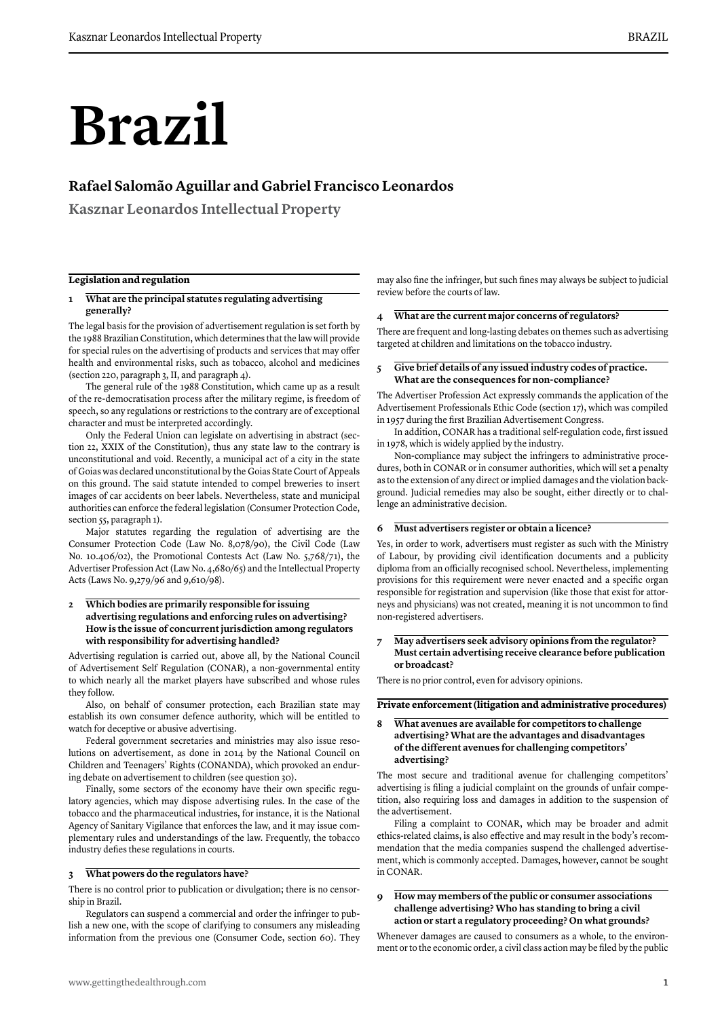# **Brazil**

## **Rafael Salomão Aguillar and Gabriel Francisco Leonardos**

**Kasznar Leonardos Intellectual Property**

#### **Legislation and regulation**

#### **1 What are the principal statutes regulating advertising generally?**

The legal basis for the provision of advertisement regulation is set forth by the 1988 Brazilian Constitution, which determines that the law will provide for special rules on the advertising of products and services that may offer health and environmental risks, such as tobacco, alcohol and medicines (section 220, paragraph 3, II, and paragraph 4).

The general rule of the 1988 Constitution, which came up as a result of the re-democratisation process after the military regime, is freedom of speech, so any regulations or restrictions to the contrary are of exceptional character and must be interpreted accordingly.

Only the Federal Union can legislate on advertising in abstract (section 22, XXIX of the Constitution), thus any state law to the contrary is unconstitutional and void. Recently, a municipal act of a city in the state of Goias was declared unconstitutional by the Goias State Court of Appeals on this ground. The said statute intended to compel breweries to insert images of car accidents on beer labels. Nevertheless, state and municipal authorities can enforce the federal legislation (Consumer Protection Code, section 55, paragraph 1).

Major statutes regarding the regulation of advertising are the Consumer Protection Code (Law No. 8,078/90), the Civil Code (Law No. 10.406/02), the Promotional Contests Act (Law No. 5,768/71), the Advertiser Profession Act (Law No. 4,680/65) and the Intellectual Property Acts (Laws No. 9,279/96 and 9,610/98).

#### **2 Which bodies are primarily responsible for issuing advertising regulations and enforcing rules on advertising? How is the issue of concurrent jurisdiction among regulators with responsibility for advertising handled?**

Advertising regulation is carried out, above all, by the National Council of Advertisement Self Regulation (CONAR), a non-governmental entity to which nearly all the market players have subscribed and whose rules they follow.

Also, on behalf of consumer protection, each Brazilian state may establish its own consumer defence authority, which will be entitled to watch for deceptive or abusive advertising.

Federal government secretaries and ministries may also issue resolutions on advertisement, as done in 2014 by the National Council on Children and Teenagers' Rights (CONANDA), which provoked an enduring debate on advertisement to children (see question 30).

Finally, some sectors of the economy have their own specific regulatory agencies, which may dispose advertising rules. In the case of the tobacco and the pharmaceutical industries, for instance, it is the National Agency of Sanitary Vigilance that enforces the law, and it may issue complementary rules and understandings of the law. Frequently, the tobacco industry defies these regulations in courts.

#### **3 What powers do the regulators have?**

There is no control prior to publication or divulgation; there is no censorship in Brazil.

Regulators can suspend a commercial and order the infringer to publish a new one, with the scope of clarifying to consumers any misleading information from the previous one (Consumer Code, section 60). They

may also fine the infringer, but such fines may always be subject to judicial review before the courts of law.

#### **4 What are the current major concerns of regulators?**

There are frequent and long-lasting debates on themes such as advertising targeted at children and limitations on the tobacco industry.

#### **5 Give brief details of any issued industry codes of practice. What are the consequences for non-compliance?**

The Advertiser Profession Act expressly commands the application of the Advertisement Professionals Ethic Code (section 17), which was compiled in 1957 during the first Brazilian Advertisement Congress.

In addition, CONAR has a traditional self-regulation code, first issued in 1978, which is widely applied by the industry.

Non-compliance may subject the infringers to administrative procedures, both in CONAR or in consumer authorities, which will set a penalty as to the extension of any direct or implied damages and the violation background. Judicial remedies may also be sought, either directly or to challenge an administrative decision.

#### **6 Must advertisers register or obtain a licence?**

Yes, in order to work, advertisers must register as such with the Ministry of Labour, by providing civil identification documents and a publicity diploma from an officially recognised school. Nevertheless, implementing provisions for this requirement were never enacted and a specific organ responsible for registration and supervision (like those that exist for attorneys and physicians) was not created, meaning it is not uncommon to find non-registered advertisers.

#### **7 May advertisers seek advisory opinions from the regulator? Must certain advertising receive clearance before publication or broadcast?**

There is no prior control, even for advisory opinions.

#### **Private enforcement (litigation and administrative procedures)**

#### **8 What avenues are available for competitors to challenge advertising? What are the advantages and disadvantages of the different avenues for challenging competitors' advertising?**

The most secure and traditional avenue for challenging competitors' advertising is filing a judicial complaint on the grounds of unfair competition, also requiring loss and damages in addition to the suspension of the advertisement.

Filing a complaint to CONAR, which may be broader and admit ethics-related claims, is also effective and may result in the body's recommendation that the media companies suspend the challenged advertisement, which is commonly accepted. Damages, however, cannot be sought in CONAR.

#### **9 How may members of the public or consumer associations challenge advertising? Who has standing to bring a civil action or start a regulatory proceeding? On what grounds?**

Whenever damages are caused to consumers as a whole, to the environment or to the economic order, a civil class action may be filed by the public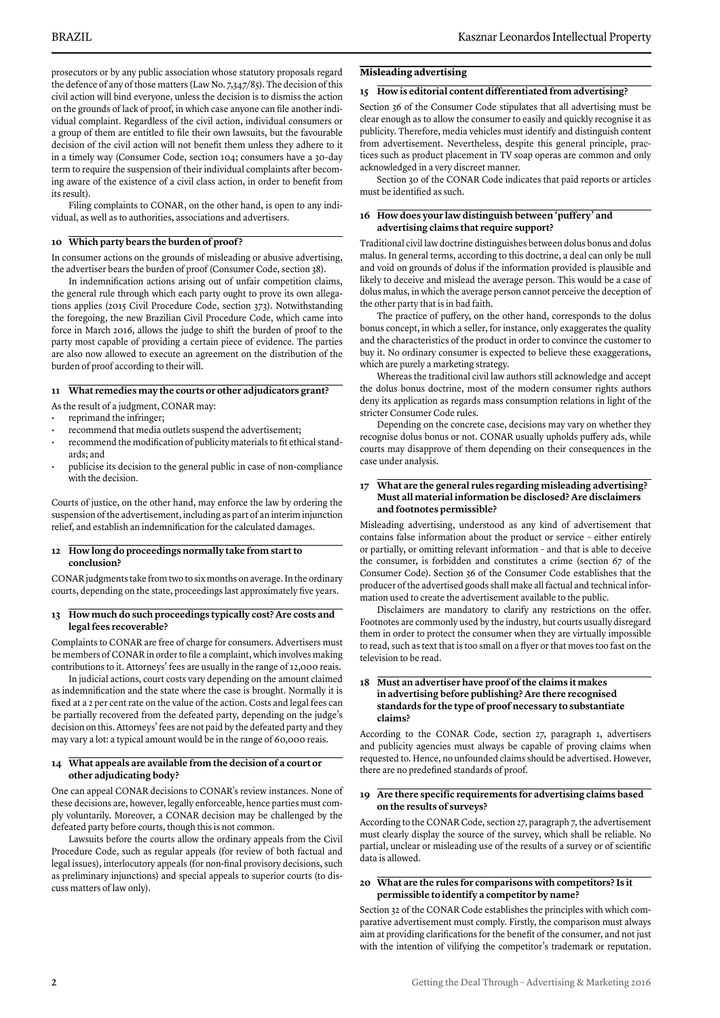prosecutors or by any public association whose statutory proposals regard the defence of any of those matters (Law No. 7,347/85). The decision of this civil action will bind everyone, unless the decision is to dismiss the action on the grounds of lack of proof, in which case anyone can file another individual complaint. Regardless of the civil action, individual consumers or a group of them are entitled to file their own lawsuits, but the favourable decision of the civil action will not benefit them unless they adhere to it in a timely way (Consumer Code, section 104; consumers have a 30-day term to require the suspension of their individual complaints after becoming aware of the existence of a civil class action, in order to benefit from its result).

Filing complaints to CONAR, on the other hand, is open to any individual, as well as to authorities, associations and advertisers.

#### **10 Which party bears the burden of proof ?**

In consumer actions on the grounds of misleading or abusive advertising, the advertiser bears the burden of proof (Consumer Code, section 38).

In indemnification actions arising out of unfair competition claims, the general rule through which each party ought to prove its own allegations applies (2015 Civil Procedure Code, section 373). Notwithstanding the foregoing, the new Brazilian Civil Procedure Code, which came into force in March 2016, allows the judge to shift the burden of proof to the party most capable of providing a certain piece of evidence. The parties are also now allowed to execute an agreement on the distribution of the burden of proof according to their will.

#### **11 What remedies may the courts or other adjudicators grant?**

As the result of a judgment, CONAR may:

- reprimand the infringer;
- recommend that media outlets suspend the advertisement;
- recommend the modification of publicity materials to fit ethical standards; and
- publicise its decision to the general public in case of non-compliance with the decision.

Courts of justice, on the other hand, may enforce the law by ordering the suspension of the advertisement, including as part of an interim injunction relief, and establish an indemnification for the calculated damages.

#### **12 How long do proceedings normally take from start to conclusion?**

CONAR judgments take from two to six months on average. In the ordinary courts, depending on the state, proceedings last approximately five years.

#### **13 How much do such proceedings typically cost? Are costs and legal fees recoverable?**

Complaints to CONAR are free of charge for consumers. Advertisers must be members of CONAR in order to file a complaint, which involves making contributions to it. Attorneys' fees are usually in the range of 12,000 reais.

In judicial actions, court costs vary depending on the amount claimed as indemnification and the state where the case is brought. Normally it is fixed at a 2 per cent rate on the value of the action. Costs and legal fees can be partially recovered from the defeated party, depending on the judge's decision on this. Attorneys' fees are not paid by the defeated party and they may vary a lot: a typical amount would be in the range of 60,000 reais.

#### **14 What appeals are available from the decision of a court or other adjudicating body?**

One can appeal CONAR decisions to CONAR's review instances. None of these decisions are, however, legally enforceable, hence parties must comply voluntarily. Moreover, a CONAR decision may be challenged by the defeated party before courts, though this is not common.

Lawsuits before the courts allow the ordinary appeals from the Civil Procedure Code, such as regular appeals (for review of both factual and legal issues), interlocutory appeals (for non-final provisory decisions, such as preliminary injunctions) and special appeals to superior courts (to discuss matters of law only).

#### **Misleading advertising**

#### **15 How is editorial content differentiated from advertising?**

Section 36 of the Consumer Code stipulates that all advertising must be clear enough as to allow the consumer to easily and quickly recognise it as publicity. Therefore, media vehicles must identify and distinguish content from advertisement. Nevertheless, despite this general principle, practices such as product placement in TV soap operas are common and only acknowledged in a very discreet manner.

Section 30 of the CONAR Code indicates that paid reports or articles must be identified as such.

#### **16 How does your law distinguish between 'puffery' and advertising claims that require support?**

Traditional civil law doctrine distinguishes between dolus bonus and dolus malus. In general terms, according to this doctrine, a deal can only be null and void on grounds of dolus if the information provided is plausible and likely to deceive and mislead the average person. This would be a case of dolus malus, in which the average person cannot perceive the deception of the other party that is in bad faith.

The practice of puffery, on the other hand, corresponds to the dolus bonus concept, in which a seller, for instance, only exaggerates the quality and the characteristics of the product in order to convince the customer to buy it. No ordinary consumer is expected to believe these exaggerations, which are purely a marketing strategy.

Whereas the traditional civil law authors still acknowledge and accept the dolus bonus doctrine, most of the modern consumer rights authors deny its application as regards mass consumption relations in light of the stricter Consumer Code rules.

Depending on the concrete case, decisions may vary on whether they recognise dolus bonus or not. CONAR usually upholds puffery ads, while courts may disapprove of them depending on their consequences in the case under analysis.

#### **17 What are the general rules regarding misleading advertising? Must all material information be disclosed? Are disclaimers and footnotes permissible?**

Misleading advertising, understood as any kind of advertisement that contains false information about the product or service – either entirely or partially, or omitting relevant information – and that is able to deceive the consumer, is forbidden and constitutes a crime (section 67 of the Consumer Code). Section 36 of the Consumer Code establishes that the producer of the advertised goods shall make all factual and technical information used to create the advertisement available to the public.

Disclaimers are mandatory to clarify any restrictions on the offer. Footnotes are commonly used by the industry, but courts usually disregard them in order to protect the consumer when they are virtually impossible to read, such as text that is too small on a flyer or that moves too fast on the television to be read.

#### **18 Must an advertiser have proof of the claims it makes in advertising before publishing? Are there recognised standards for the type of proof necessary to substantiate claims?**

According to the CONAR Code, section 27, paragraph 1, advertisers and publicity agencies must always be capable of proving claims when requested to. Hence, no unfounded claims should be advertised. However, there are no predefined standards of proof.

#### **19 Are there specific requirements for advertising claims based on the results of surveys?**

According to the CONAR Code, section 27, paragraph 7, the advertisement must clearly display the source of the survey, which shall be reliable. No partial, unclear or misleading use of the results of a survey or of scientific data is allowed.

#### **20 What are the rules for comparisons with competitors? Is it permissible to identify a competitor by name?**

Section 32 of the CONAR Code establishes the principles with which comparative advertisement must comply. Firstly, the comparison must always aim at providing clarifications for the benefit of the consumer, and not just with the intention of vilifying the competitor's trademark or reputation.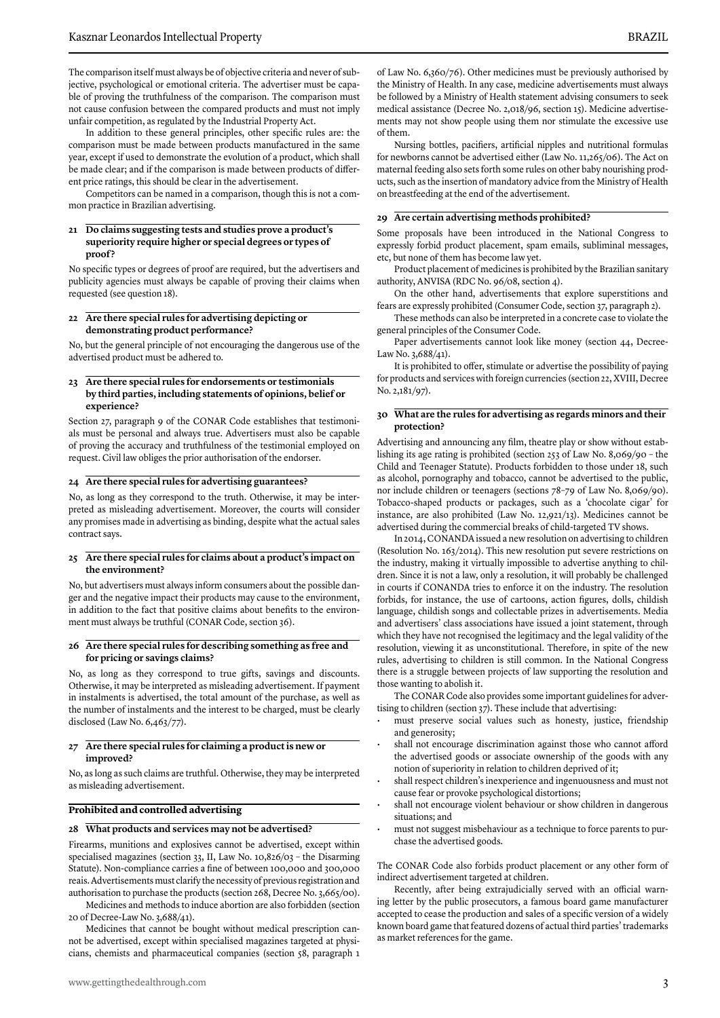The comparison itself must always be of objective criteria and never of subjective, psychological or emotional criteria. The advertiser must be capable of proving the truthfulness of the comparison. The comparison must not cause confusion between the compared products and must not imply unfair competition, as regulated by the Industrial Property Act.

In addition to these general principles, other specific rules are: the comparison must be made between products manufactured in the same year, except if used to demonstrate the evolution of a product, which shall be made clear; and if the comparison is made between products of different price ratings, this should be clear in the advertisement.

Competitors can be named in a comparison, though this is not a common practice in Brazilian advertising.

#### **21 Do claims suggesting tests and studies prove a product's superiority require higher or special degrees or types of proof ?**

No specific types or degrees of proof are required, but the advertisers and publicity agencies must always be capable of proving their claims when requested (see question 18).

#### **22 Are there special rules for advertising depicting or demonstrating product performance?**

No, but the general principle of not encouraging the dangerous use of the advertised product must be adhered to.

#### **23 Are there special rules for endorsements or testimonials by third parties, including statements of opinions, belief or experience?**

Section 27, paragraph 9 of the CONAR Code establishes that testimonials must be personal and always true. Advertisers must also be capable of proving the accuracy and truthfulness of the testimonial employed on request. Civil law obliges the prior authorisation of the endorser.

#### **24 Are there special rules for advertising guarantees?**

No, as long as they correspond to the truth. Otherwise, it may be interpreted as misleading advertisement. Moreover, the courts will consider any promises made in advertising as binding, despite what the actual sales contract says.

#### **25 Are there special rules for claims about a product's impact on the environment?**

No, but advertisers must always inform consumers about the possible danger and the negative impact their products may cause to the environment, in addition to the fact that positive claims about benefits to the environment must always be truthful (CONAR Code, section 36).

#### **26 Are there special rules for describing something as free and for pricing or savings claims?**

No, as long as they correspond to true gifts, savings and discounts. Otherwise, it may be interpreted as misleading advertisement. If payment in instalments is advertised, the total amount of the purchase, as well as the number of instalments and the interest to be charged, must be clearly disclosed (Law No. 6,463/77).

#### **27 Are there special rules for claiming a product is new or improved?**

No, as long as such claims are truthful. Otherwise, they may be interpreted as misleading advertisement.

#### **Prohibited and controlled advertising**

#### **28 What products and services may not be advertised?**

Firearms, munitions and explosives cannot be advertised, except within specialised magazines (section 33, II, Law No. 10,826/03 – the Disarming Statute). Non-compliance carries a fine of between 100,000 and 300,000 reais. Advertisements must clarify the necessity of previous registration and authorisation to purchase the products (section 268, Decree No. 3,665/00).

Medicines and methods to induce abortion are also forbidden (section 20 of Decree-Law No. 3,688/41).

Medicines that cannot be bought without medical prescription cannot be advertised, except within specialised magazines targeted at physicians, chemists and pharmaceutical companies (section 58, paragraph 1 of Law No. 6,360/76). Other medicines must be previously authorised by the Ministry of Health. In any case, medicine advertisements must always be followed by a Ministry of Health statement advising consumers to seek medical assistance (Decree No. 2,018/96, section 15). Medicine advertisements may not show people using them nor stimulate the excessive use of them.

Nursing bottles, pacifiers, artificial nipples and nutritional formulas for newborns cannot be advertised either (Law No. 11,265/06). The Act on maternal feeding also sets forth some rules on other baby nourishing products, such as the insertion of mandatory advice from the Ministry of Health on breastfeeding at the end of the advertisement.

#### **29 Are certain advertising methods prohibited?**

Some proposals have been introduced in the National Congress to expressly forbid product placement, spam emails, subliminal messages, etc, but none of them has become law yet.

Product placement of medicines is prohibited by the Brazilian sanitary authority, ANVISA (RDC No. 96/08, section 4).

On the other hand, advertisements that explore superstitions and fears are expressly prohibited (Consumer Code, section 37, paragraph 2).

These methods can also be interpreted in a concrete case to violate the general principles of the Consumer Code.

Paper advertisements cannot look like money (section 44, Decree-Law No. 3,688/41).

It is prohibited to offer, stimulate or advertise the possibility of paying for products and services with foreign currencies (section 22, XVIII, Decree No. 2,181/97).

#### **30 What are the rules for advertising as regards minors and their protection?**

Advertising and announcing any film, theatre play or show without establishing its age rating is prohibited (section 253 of Law No. 8,069/90 – the Child and Teenager Statute). Products forbidden to those under 18, such as alcohol, pornography and tobacco, cannot be advertised to the public, nor include children or teenagers (sections 78–79 of Law No. 8,069/90). Tobacco-shaped products or packages, such as a 'chocolate cigar' for instance, are also prohibited (Law No. 12,921/13). Medicines cannot be advertised during the commercial breaks of child-targeted TV shows.

In 2014, CONANDA issued a new resolution on advertising to children (Resolution No. 163/2014). This new resolution put severe restrictions on the industry, making it virtually impossible to advertise anything to children. Since it is not a law, only a resolution, it will probably be challenged in courts if CONANDA tries to enforce it on the industry. The resolution forbids, for instance, the use of cartoons, action figures, dolls, childish language, childish songs and collectable prizes in advertisements. Media and advertisers' class associations have issued a joint statement, through which they have not recognised the legitimacy and the legal validity of the resolution, viewing it as unconstitutional. Therefore, in spite of the new rules, advertising to children is still common. In the National Congress there is a struggle between projects of law supporting the resolution and those wanting to abolish it.

The CONAR Code also provides some important guidelines for advertising to children (section 37). These include that advertising:

- must preserve social values such as honesty, justice, friendship and generosity;
- shall not encourage discrimination against those who cannot afford the advertised goods or associate ownership of the goods with any notion of superiority in relation to children deprived of it;
- shall respect children's inexperience and ingenuousness and must not cause fear or provoke psychological distortions;
- shall not encourage violent behaviour or show children in dangerous situations; and
- must not suggest misbehaviour as a technique to force parents to purchase the advertised goods.

The CONAR Code also forbids product placement or any other form of indirect advertisement targeted at children.

Recently, after being extrajudicially served with an official warning letter by the public prosecutors, a famous board game manufacturer accepted to cease the production and sales of a specific version of a widely known board game that featured dozens of actual third parties' trademarks as market references for the game.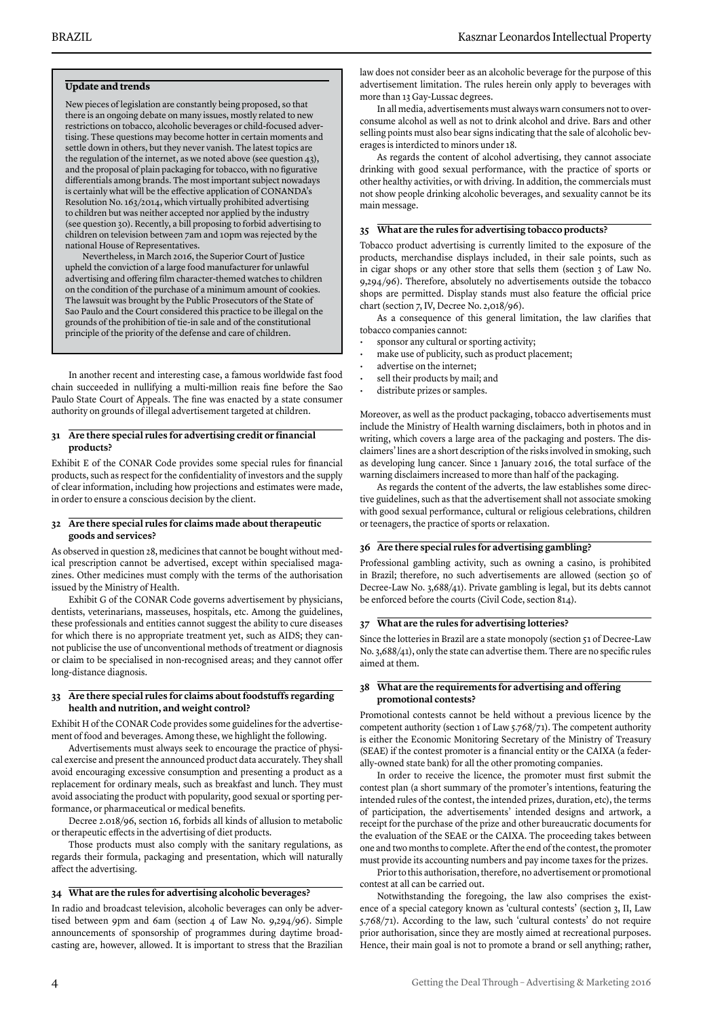#### **Update and trends**

New pieces of legislation are constantly being proposed, so that there is an ongoing debate on many issues, mostly related to new restrictions on tobacco, alcoholic beverages or child-focused advertising. These questions may become hotter in certain moments and settle down in others, but they never vanish. The latest topics are the regulation of the internet, as we noted above (see question 43), and the proposal of plain packaging for tobacco, with no figurative differentials among brands. The most important subject nowadays is certainly what will be the effective application of CONANDA's Resolution No. 163/2014, which virtually prohibited advertising to children but was neither accepted nor applied by the industry (see question 30). Recently, a bill proposing to forbid advertising to children on television between 7am and 10pm was rejected by the national House of Representatives.

Nevertheless, in March 2016, the Superior Court of Justice upheld the conviction of a large food manufacturer for unlawful advertising and offering film character-themed watches to children on the condition of the purchase of a minimum amount of cookies. The lawsuit was brought by the Public Prosecutors of the State of Sao Paulo and the Court considered this practice to be illegal on the grounds of the prohibition of tie-in sale and of the constitutional principle of the priority of the defense and care of children.

In another recent and interesting case, a famous worldwide fast food chain succeeded in nullifying a multi-million reais fine before the Sao Paulo State Court of Appeals. The fine was enacted by a state consumer authority on grounds of illegal advertisement targeted at children.

#### **31 Are there special rules for advertising credit or financial products?**

Exhibit E of the CONAR Code provides some special rules for financial products, such as respect for the confidentiality of investors and the supply of clear information, including how projections and estimates were made, in order to ensure a conscious decision by the client.

#### **32 Are there special rules for claims made about therapeutic goods and services?**

As observed in question 28, medicines that cannot be bought without medical prescription cannot be advertised, except within specialised magazines. Other medicines must comply with the terms of the authorisation issued by the Ministry of Health.

Exhibit G of the CONAR Code governs advertisement by physicians, dentists, veterinarians, masseuses, hospitals, etc. Among the guidelines, these professionals and entities cannot suggest the ability to cure diseases for which there is no appropriate treatment yet, such as AIDS; they cannot publicise the use of unconventional methods of treatment or diagnosis or claim to be specialised in non-recognised areas; and they cannot offer long-distance diagnosis.

#### **33 Are there special rules for claims about foodstuffs regarding health and nutrition, and weight control?**

Exhibit H of the CONAR Code provides some guidelines for the advertisement of food and beverages. Among these, we highlight the following.

Advertisements must always seek to encourage the practice of physical exercise and present the announced product data accurately. They shall avoid encouraging excessive consumption and presenting a product as a replacement for ordinary meals, such as breakfast and lunch. They must avoid associating the product with popularity, good sexual or sporting performance, or pharmaceutical or medical benefits.

Decree 2.018/96, section 16, forbids all kinds of allusion to metabolic or therapeutic effects in the advertising of diet products.

Those products must also comply with the sanitary regulations, as regards their formula, packaging and presentation, which will naturally affect the advertising.

#### **34 What are the rules for advertising alcoholic beverages?**

In radio and broadcast television, alcoholic beverages can only be advertised between 9pm and 6am (section 4 of Law No. 9,294/96). Simple announcements of sponsorship of programmes during daytime broadcasting are, however, allowed. It is important to stress that the Brazilian law does not consider beer as an alcoholic beverage for the purpose of this advertisement limitation. The rules herein only apply to beverages with more than 13 Gay-Lussac degrees.

In all media, advertisements must always warn consumers not to overconsume alcohol as well as not to drink alcohol and drive. Bars and other selling points must also bear signs indicating that the sale of alcoholic beverages is interdicted to minors under 18.

As regards the content of alcohol advertising, they cannot associate drinking with good sexual performance, with the practice of sports or other healthy activities, or with driving. In addition, the commercials must not show people drinking alcoholic beverages, and sexuality cannot be its main message.

#### **35 What are the rules for advertising tobacco products?**

Tobacco product advertising is currently limited to the exposure of the products, merchandise displays included, in their sale points, such as in cigar shops or any other store that sells them (section 3 of Law No. 9,294/96). Therefore, absolutely no advertisements outside the tobacco shops are permitted. Display stands must also feature the official price chart (section 7, IV, Decree No. 2,018/96).

As a consequence of this general limitation, the law clarifies that tobacco companies cannot:

- sponsor any cultural or sporting activity;
- make use of publicity, such as product placement;
- advertise on the internet;
- sell their products by mail; and
- distribute prizes or samples.

Moreover, as well as the product packaging, tobacco advertisements must include the Ministry of Health warning disclaimers, both in photos and in writing, which covers a large area of the packaging and posters. The disclaimers' lines are a short description of the risks involved in smoking, such as developing lung cancer. Since 1 January 2016, the total surface of the warning disclaimers increased to more than half of the packaging.

As regards the content of the adverts, the law establishes some directive guidelines, such as that the advertisement shall not associate smoking with good sexual performance, cultural or religious celebrations, children or teenagers, the practice of sports or relaxation.

#### **36 Are there special rules for advertising gambling?**

Professional gambling activity, such as owning a casino, is prohibited in Brazil; therefore, no such advertisements are allowed (section 50 of Decree-Law No. 3,688/41). Private gambling is legal, but its debts cannot be enforced before the courts (Civil Code, section 814).

#### **37 What are the rules for advertising lotteries?**

Since the lotteries in Brazil are a state monopoly (section 51 of Decree-Law No. 3,688/41), only the state can advertise them. There are no specific rules aimed at them.

#### **38 What are the requirements for advertising and offering promotional contests?**

Promotional contests cannot be held without a previous licence by the competent authority (section 1 of Law 5.768/71). The competent authority is either the Economic Monitoring Secretary of the Ministry of Treasury (SEAE) if the contest promoter is a financial entity or the CAIXA (a federally-owned state bank) for all the other promoting companies.

In order to receive the licence, the promoter must first submit the contest plan (a short summary of the promoter's intentions, featuring the intended rules of the contest, the intended prizes, duration, etc), the terms of participation, the advertisements' intended designs and artwork, a receipt for the purchase of the prize and other bureaucratic documents for the evaluation of the SEAE or the CAIXA. The proceeding takes between one and two months to complete. After the end of the contest, the promoter must provide its accounting numbers and pay income taxes for the prizes.

Prior to this authorisation, therefore, no advertisement or promotional contest at all can be carried out.

Notwithstanding the foregoing, the law also comprises the existence of a special category known as 'cultural contests' (section 3, II, Law 5.768/71). According to the law, such 'cultural contests' do not require prior authorisation, since they are mostly aimed at recreational purposes. Hence, their main goal is not to promote a brand or sell anything; rather,